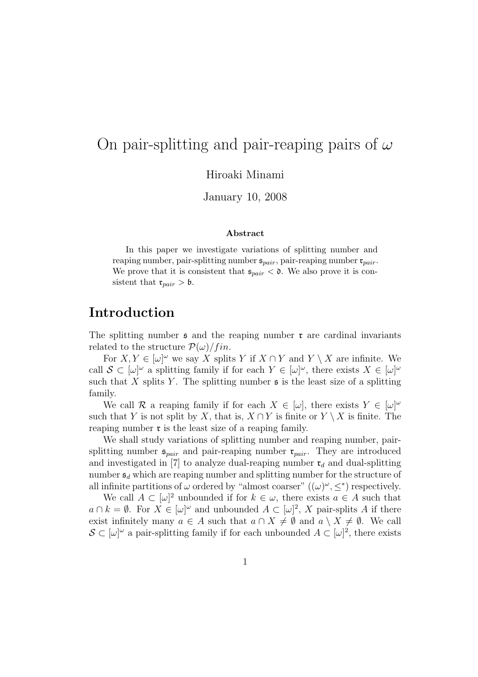# On pair-splitting and pair-reaping pairs of  $\omega$

Hiroaki Minami

January 10, 2008

#### Abstract

In this paper we investigate variations of splitting number and reaping number, pair-splitting number  $\mathfrak{s}_{pair}$ , pair-reaping number  $\mathfrak{r}_{pair}$ . We prove that it is consistent that  $\mathfrak{s}_{pair} < \mathfrak{d}$ . We also prove it is consistent that  $\mathfrak{r}_{pair} > \mathfrak{b}$ .

### Introduction

The splitting number  $\epsilon$  and the reaping number  $\tau$  are cardinal invariants related to the structure  $\mathcal{P}(\omega)/fin$ .

For  $X, Y \in [\omega]^\omega$  we say X splits Y if  $X \cap Y$  and  $Y \setminus X$  are infinite. We call  $S \subset [\omega]^\omega$  a splitting family if for each  $Y \in [\omega]^\omega$ , there exists  $X \in [\omega]^\omega$ such that X splits Y. The splitting number  $\mathfrak s$  is the least size of a splitting family.

We call R a reaping family if for each  $X \in [\omega]$ , there exists  $Y \in [\omega]^\omega$ such that Y is not split by X, that is,  $X \cap Y$  is finite or  $Y \setminus X$  is finite. The reaping number  $\mathfrak r$  is the least size of a reaping family.

We shall study variations of splitting number and reaping number, pairsplitting number  $\mathfrak{s}_{pair}$  and pair-reaping number  $\mathfrak{r}_{pair}$ . They are introduced and investigated in [7] to analyze dual-reaping number  $\mathfrak{r}_d$  and dual-splitting number  $\mathfrak{s}_d$  which are reaping number and splitting number for the structure of all infinite partitions of  $\omega$  ordered by "almost coarser"  $((\omega)^{\omega}, \leq^*)$  respectively.

We call  $A \subset [\omega]^2$  unbounded if for  $k \in \omega$ , there exists  $a \in A$  such that  $a \cap k = \emptyset$ . For  $X \in [\omega]^\omega$  and unbounded  $A \subset [\omega]^2$ , X pair-splits A if there exist infinitely many  $a \in A$  such that  $a \cap X \neq \emptyset$  and  $a \setminus X \neq \emptyset$ . We call  $\mathcal{S} \subset [\omega]^\omega$  a pair-splitting family if for each unbounded  $A \subset [\omega]^2$ , there exists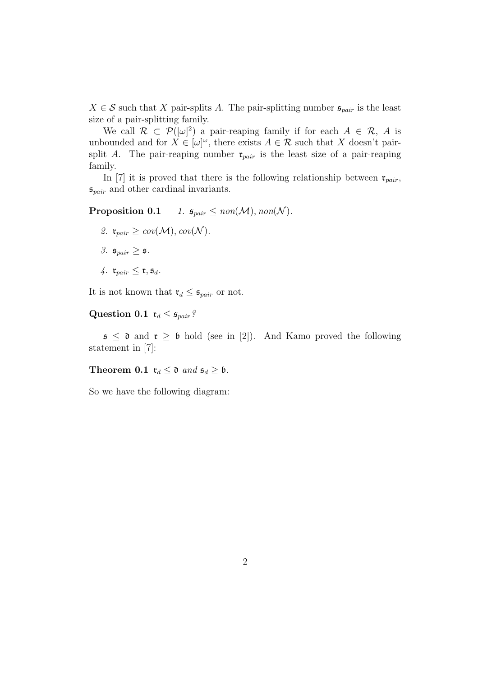$X \in \mathcal{S}$  such that X pair-splits A. The pair-splitting number  $\mathfrak{s}_{pair}$  is the least size of a pair-splitting family.

We call  $\mathcal{R} \subset \mathcal{P}([\omega]^2)$  a pair-reaping family if for each  $A \in \mathcal{R}$ , A is unbounded and for  $X \in [\omega]^\omega$ , there exists  $A \in \mathcal{R}$  such that X doesn't pairsplit A. The pair-reaping number  $\mathfrak{r}_{pair}$  is the least size of a pair-reaping family.

In [7] it is proved that there is the following relationship between  $\mathfrak{r}_{pair}$ ,  $\mathfrak{s}_{pair}$  and other cardinal invariants.

Proposition 0.1 1.  $\mathfrak{s}_{pair} \leq \text{non}(\mathcal{M}), \text{non}(\mathcal{N}).$ 

- 2.  $\mathfrak{r}_{pair} \geq cov(\mathcal{M}), cov(\mathcal{N}).$
- 3.  $\mathfrak{s}_{pair} \geq \mathfrak{s}$ .
- 4.  $\mathfrak{r}_{pair} \leq \mathfrak{r}, \mathfrak{s}_d$ .

It is not known that  $\mathfrak{r}_d \leq \mathfrak{s}_{pair}$  or not.

Question 0.1  $\mathfrak{r}_d \leq \mathfrak{s}_{pair}$ ?

 $\mathfrak{s} \leq \mathfrak{d}$  and  $\mathfrak{r} \geq \mathfrak{b}$  hold (see in [2]). And Kamo proved the following statement in [7]:

Theorem 0.1  $\mathfrak{r}_d \leq \mathfrak{d}$  and  $\mathfrak{s}_d \geq \mathfrak{b}$ .

So we have the following diagram: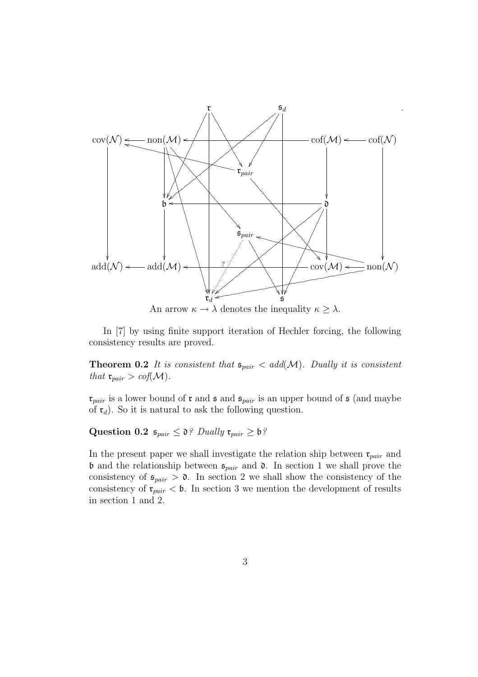

.

An arrow  $\kappa \to \lambda$  denotes the inequality  $\kappa \geq \lambda$ .

In [7] by using finite support iteration of Hechler forcing, the following consistency results are proved.

**Theorem 0.2** It is consistent that  $\mathfrak{s}_{pair} < add(\mathcal{M})$ . Dually it is consistent that  $\mathfrak{r}_{pair} > cof(\mathcal{M}).$ 

 $\mathfrak{r}_{pair}$  is a lower bound of  $\mathfrak{r}$  and  $\mathfrak{s}$  and  $\mathfrak{s}_{pair}$  is an upper bound of  $\mathfrak{s}$  (and maybe of  $\mathfrak{r}_d$ ). So it is natural to ask the following question.

Question 0.2  $\mathfrak{s}_{pair} \leq \mathfrak{d}$ ? Dually  $\mathfrak{r}_{pair} \geq \mathfrak{b}$ ?

In the present paper we shall investigate the relation ship between  $\mathfrak{r}_{pair}$  and **b** and the relationship between  $\mathfrak{s}_{pair}$  and  $\mathfrak{d}$ . In section 1 we shall prove the consistency of  $\mathfrak{s}_{pair} > \mathfrak{d}$ . In section 2 we shall show the consistency of the consistency of  $\mathfrak{r}_{pair} < \mathfrak{b}$ . In section 3 we mention the development of results in section 1 and 2.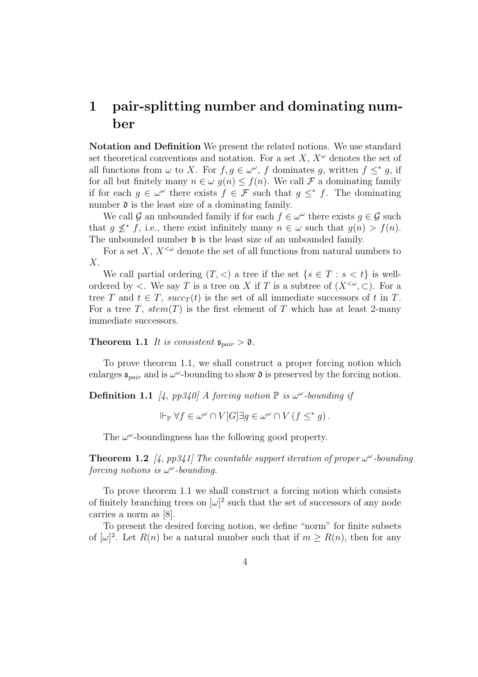# 1 pair-splitting number and dominating number

Notation and Definition We present the related notions. We use standard set theoretical conventions and notation. For a set  $X, X^{\omega}$  denotes the set of all functions from  $\omega$  to X. For  $f, g \in \omega^{\omega}$ , f dominates g, written  $f \leq^* g$ , if for all but finitely many  $n \in \omega$   $q(n) \leq f(n)$ . We call  $\mathcal F$  a dominating family if for each  $g \in \omega^{\omega}$  there exists  $f \in \mathcal{F}$  such that  $g \leq^* f$ . The dominating number  $\mathfrak d$  is the least size of a dominating family.

We call G an unbounded family if for each  $f \in \omega^\omega$  there exists  $g \in \mathcal{G}$  such that  $g \nleq^* f$ , i.e., there exist infinitely many  $n \in \omega$  such that  $g(n) > f(n)$ . The unbounded number  $\mathfrak b$  is the least size of an unbounded family.

For a set X,  $X^{\lt}\omega$  denote the set of all functions from natural numbers to  $\bar{X}$ .

We call partial ordering  $(T, <)$  a tree if the set  $\{s \in T : s < t\}$  is wellordered by  $\lt$ . We say T is a tree on X if T is a subtree of  $(X^{\lt}\omega, \subset)$ . For a tree T and  $t \in T$ ,  $succ_T(t)$  is the set of all immediate successors of t in T. For a tree T,  $stem(T)$  is the first element of T which has at least 2-many immediate successors.

**Theorem 1.1** It is consistent  $\mathfrak{s}_{pair} > \mathfrak{d}$ .

To prove theorem 1.1, we shall construct a proper forcing notion which enlarges  $\mathfrak{s}_{pair}$  and is  $\omega^{\omega}$ -bounding to show  $\mathfrak{d}$  is preserved by the forcing notion.

**Definition 1.1** [4, pp340] A forcing notion  $\mathbb P$  is  $\omega^{\omega}$ -bounding if

 $\Vdash_{\mathbb{P}} \forall f \in \omega^{\omega} \cap V[G] \exists g \in \omega^{\omega} \cap V(f \leq^* g).$ 

The  $\omega^{\omega}$ -boundingness has the following good property.

**Theorem 1.2** [4, pp341] The countable support iteration of proper  $\omega^{\omega}$ -bounding forcing notions is  $\omega^{\omega}$ -bounding.

To prove theorem 1.1 we shall construct a forcing notion which consists of finitely branching trees on  $[\omega]^2$  such that the set of successors of any node carries a norm as [8].

To present the desired forcing notion, we define "norm" for finite subsets of  $[\omega]^2$ . Let  $R(n)$  be a natural number such that if  $m \geq R(n)$ , then for any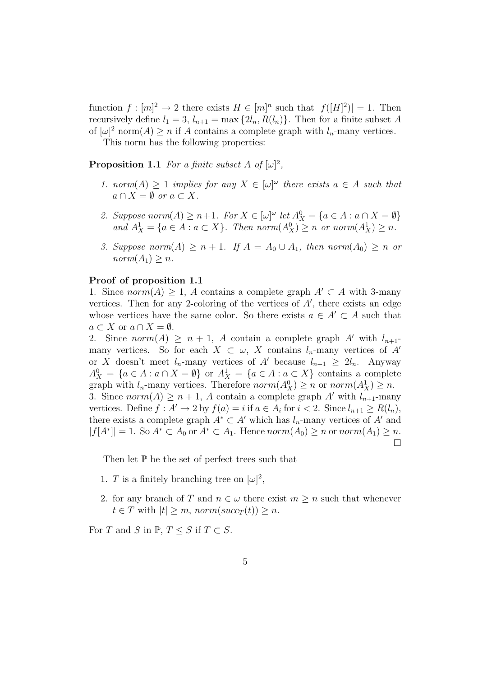function  $f: [m]^2 \to 2$  there exists  $H \in [m]^n$  such that  $|f([H]^2)| = 1$ . Then recursively define  $l_1 = 3$ ,  $l_{n+1} = \max\{2l_n, R(l_n)\}\)$ . Then for a finite subset A of  $[\omega]^2$  norm $(A) \ge n$  if A contains a complete graph with  $l_n$ -many vertices.

This norm has the following properties:

**Proposition 1.1** For a finite subset A of  $[\omega]^2$ ,

- 1. norm $(A) \geq 1$  implies for any  $X \in [\omega]^\omega$  there exists  $a \in A$  such that  $a \cap X = \emptyset$  or  $a \subset X$ .
- 2. Suppose  $norm(A) \ge n+1$ . For  $X \in [\omega]^\omega$  let  $A_X^0 = \{a \in A : a \cap X = \emptyset\}$ and  $A_X^1 = \{a \in A : a \subset X\}$ . Then norm $(A_X^0) \ge n$  or norm $(A_X^1) \ge n$ .
- 3. Suppose norm $(A) \ge n + 1$ . If  $A = A_0 \cup A_1$ , then norm $(A_0) \ge n$  or  $norm(A_1) \geq n$ .

#### Proof of proposition 1.1

1. Since  $norm(A) \geq 1$ , A contains a complete graph  $A' \subset A$  with 3-many vertices. Then for any 2-coloring of the vertices of  $A'$ , there exists an edge whose vertices have the same color. So there exists  $a \in A' \subset A$  such that  $a \subset X$  or  $a \cap X = \emptyset$ .

2. Since  $norm(A) \geq n+1$ , A contain a complete graph A' with  $l_{n+1}$ many vertices. So for each  $X \subset \omega$ , X contains  $l_n$ -many vertices of A' or X doesn't meet  $l_n$ -many vertices of A' because  $l_{n+1} \geq 2l_n$ . Anyway  $A_X^0 = \{a \in A : a \cap X = \emptyset\}$  or  $A_X^1 = \{a \in A : a \subset X\}$  contains a complete graph with  $l_n$ -many vertices. Therefore  $norm(A_X^0) \ge n$  or  $norm(A_X^1) \ge n$ . 3. Since  $norm(A) \geq n+1$ , A contain a complete graph A' with  $l_{n+1}$ -many vertices. Define  $f : A' \to 2$  by  $f(a) = i$  if  $a \in A_i$  for  $i < 2$ . Since  $l_{n+1} \ge R(l_n)$ , there exists a complete graph  $A^* \subset A'$  which has  $l_n$ -many vertices of A' and  $|f[A^*]| = 1$ . So  $A^* \subset A_0$  or  $A^* \subset A_1$ . Hence  $norm(A_0) \geq n$  or  $norm(A_1) \geq n$ . ¤

Then let  $\mathbb P$  be the set of perfect trees such that

- 1. T is a finitely branching tree on  $[\omega]^2$ ,
- 2. for any branch of T and  $n \in \omega$  there exist  $m \geq n$  such that whenever  $t \in T$  with  $|t| \geq m$ , norm $(succ_T(t)) \geq n$ .

For T and S in  $\mathbb{P}, T \leq S$  if  $T \subset S$ .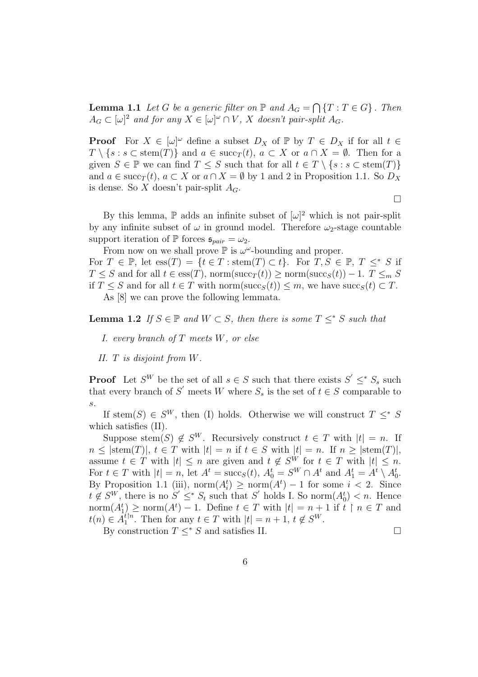**Lemma 1.1** Let G be a generic filter on  $\mathbb P$  and  $A_G =$  $\overline{a}$  ${T : T \in G}$ . Then  $A_G \subset [\omega]^2$  and for any  $X \in [\omega]^\omega \cap V$ , X doesn't pair-split  $A_G$ .

**Proof** For  $X \in [\omega]^\omega$  define a subset  $D_X$  of  $\mathbb{P}$  by  $T \in D_X$  if for all  $t \in$  $T \setminus \{s : s \subset \text{stem}(T)\}\$ and  $a \in \text{succ}_T(t), a \subset X$  or  $a \cap X = \emptyset$ . Then for a given  $S \in \mathbb{P}$  we can find  $T \leq S$  such that for all  $t \in T \setminus \{s : s \subset \text{stem}(T)\}\$ and  $a \in \text{succ}_{T}(t)$ ,  $a \subset X$  or  $a \cap X = \emptyset$  by 1 and 2 in Proposition 1.1. So  $D_X$ is dense. So X doesn't pair-split  $A_G$ .

 $\Box$ 

By this lemma,  $\mathbb P$  adds an infinite subset of  $[\omega]^2$  which is not pair-split by any infinite subset of  $\omega$  in ground model. Therefore  $\omega_2$ -stage countable support iteration of  $\mathbb P$  forces  $\mathfrak{s}_{pair} = \omega_2$ .

From now on we shall prove  $\mathbb P$  is  $\omega^\omega$ -bounding and proper.

For  $T \in \mathbb{P}$ , let  $ess(T) = \{t \in T : stem(T) \subset t\}$ . For  $T, S \in \mathbb{P}$ ,  $T \leq^* S$  if  $T \leq S$  and for all  $t \in \text{ess}(T)$ , norm(succ<sub>T</sub>(t)) ≥ norm(succ<sub>S</sub>(t)) – 1.  $T \leq_m S$ if  $T \leq S$  and for all  $t \in T$  with norm(succ<sub>S</sub>(t))  $\leq m$ , we have succ<sub>S</sub>(t)  $\subset T$ . As [8] we can prove the following lemmata.

**Lemma 1.2** If  $S \in \mathbb{P}$  and  $W \subset S$ , then there is some  $T \leq^* S$  such that

- I. every branch of  $T$  meets  $W$ , or else
- II. T is disjoint from W.

**Proof** Let  $S^W$  be the set of all  $s \in S$  such that there exists  $S' \leq^* S_s$  such that every branch of S' meets W where  $S_s$  is the set of  $t \in S$  comparable to s.

If stem(S)  $\in S^W$ , then (I) holds. Otherwise we will construct  $T \leq^* S$ which satisfies (II).

Suppose stem(S)  $\notin S^W$ . Recursively construct  $t \in T$  with  $|t| = n$ . If  $n \leq |\text{stem}(T)|, t \in T$  with  $|t| = n$  if  $t \in S$  with  $|t| = n$ . If  $n \geq |\text{stem}(T)|$ , assume  $t \in T$  with  $|t| \leq n$  are given and  $t \notin S^W$  for  $t \in T$  with  $|t| \leq n$ . For  $t \in T$  with  $|t| = n$ , let  $A^t = \operatorname{succ}_S(t)$ ,  $A_0^t = S^W \cap A^t$  and  $A_1^t = A^t \setminus A_0^t$ . By Proposition 1.1 (iii),  $\text{norm}(A_i^t) \geq \text{norm}(A^t) - 1$  for some  $i < 2$ . Since  $t \notin S^W$ , there is no  $S' \leq^* S_t$  such that  $S'$  holds I. So norm $(A_0^t) < n$ . Hence  $\text{norm}(A_1^t) \ge \text{norm}(A^t) - 1$ . Define  $t \in T$  with  $|t| = n + 1$  if  $t \restriction n \in T$  and  $t(n) \in \tilde{A_1^{t}}^n$  $t_1^{tn}$ . Then for any  $t \in T$  with  $|t| = n + 1$ ,  $t \notin S^W$ .

By construction  $T \leq^* S$  and satisfies II.  $\Box$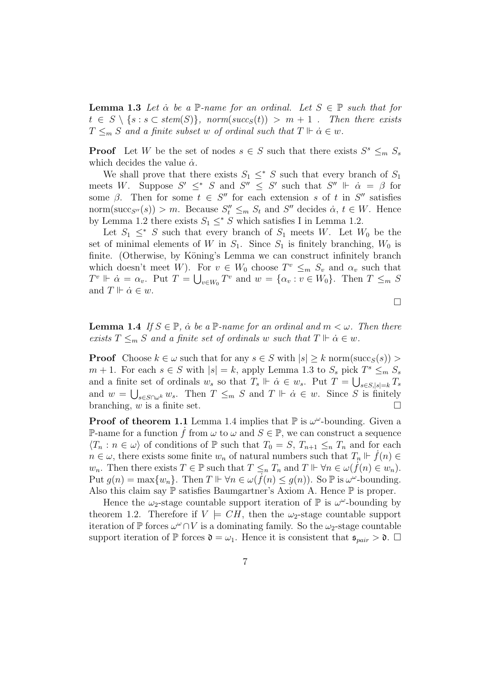**Lemma 1.3** Let  $\alpha$  be a  $\mathbb{P}$ -name for an ordinal. Let  $S \in \mathbb{P}$  such that for  $t \in S \setminus \{s : s \subset stem(S)\}, \normalsize norm(succ_S(t)) > m+1$ . Then there exists  $T \leq_m S$  and a finite subset w of ordinal such that  $T \Vdash \dot{\alpha} \in w$ .

**Proof** Let W be the set of nodes  $s \in S$  such that there exists  $S^s \leq_m S_s$ which decides the value  $\dot{\alpha}$ .

We shall prove that there exists  $S_1 \leq^* S$  such that every branch of  $S_1$ meets W. Suppose  $S' \leq^* S$  and  $S'' \leq S'$  such that  $S'' \Vdash \dot{\alpha} = \beta$  for some  $\beta$ . Then for some  $t \in S''$  for each extension s of t in S'' satisfies norm(succ<sub>S''</sub>(s)) > m. Because  $S_t'' \leq_m S_t$  and S'' decides  $\dot{\alpha}, t \in W$ . Hence by Lemma 1.2 there exists  $S_1 \leq^* S$  which satisfies I in Lemma 1.2.

Let  $S_1 \leq^* S$  such that every branch of  $S_1$  meets W. Let  $W_0$  be the set of minimal elements of W in  $S_1$ . Since  $S_1$  is finitely branching,  $W_0$  is finite. (Otherwise, by Köning's Lemma we can construct infinitely branch which doesn't meet W). For  $v \in W_0$  choose  $T^v \leq_m S_v$  and  $\alpha_v$  such that  $T^v \Vdash \dot{\alpha} = \alpha_v$ . Put  $T = \bigcup_{v \in W_0} T^v$  and  $w = \{\alpha_v : v \in W_0\}$ . Then  $T \leq_m S$ and  $T \Vdash \dot{\alpha} \in w$ .

 $\Box$ 

**Lemma 1.4** If  $S \in \mathbb{P}$ ,  $\alpha$  be a  $\mathbb{P}$ -name for an ordinal and  $m < \omega$ . Then there exists  $T \leq_m S$  and a finite set of ordinals w such that  $T \Vdash \dot{\alpha} \in w$ .

**Proof** Choose  $k \in \omega$  such that for any  $s \in S$  with  $|s| \geq k$  norm(succ<sub>S</sub>(s)) >  $m + 1$ . For each  $s \in S$  with  $|s| = k$ , apply Lemma 1.3 to  $S_s$  pick  $T^s \leq_m S_s$ and a finite set of ordinals  $w_s$  so that  $T_s \Vdash \dot{\alpha} \in w_s$ . Put  $T = \bigcup_{s \in S, |s|=k} T_s$ and  $w = \bigcup_{s \in S \cap \omega^k} w_s$ . Then  $T \leq_m S$  and  $T \Vdash \dot{\alpha} \in w$ . Since S is finitely branching, w is a finite set.  $\Box$ 

**Proof of theorem 1.1** Lemma 1.4 implies that  $\mathbb{P}$  is  $\omega^{\omega}$ -bounding. Given a P-name for a function  $\hat{f}$  from  $\omega$  to  $\omega$  and  $S \in \mathbb{P}$ , we can construct a sequence  $\langle T_n : n \in \omega \rangle$  of conditions of P such that  $T_0 = S$ ,  $T_{n+1} \leq_n T_n$  and for each  $n \in \omega$ , there exists some finite  $w_n$  of natural numbers such that  $T_n \Vdash \dot{f}(n) \in$  $w_n$ . Then there exists  $T \in \mathbb{P}$  such that  $T \leq_n T_n$  and  $T \Vdash \forall n \in \omega(\tilde{f}(n) \in w_n)$ . Put  $g(n) = \max\{w_n\}$ . Then  $T \Vdash \forall n \in \omega(\overline{f}(n) \leq g(n))$ . So  $\mathbb P$  is  $\omega^{\omega}$ -bounding. Also this claim say  $\mathbb P$  satisfies Baumgartner's Axiom A. Hence  $\mathbb P$  is proper.

Hence the  $\omega_2$ -stage countable support iteration of  $\mathbb P$  is  $\omega^{\omega}$ -bounding by theorem 1.2. Therefore if  $V \models CH$ , then the  $\omega_2$ -stage countable support iteration of  $\mathbb P$  forces  $\omega^\omega \cap V$  is a dominating family. So the  $\omega_2$ -stage countable support iteration of  $\mathbb P$  forces  $\mathfrak d = \omega_1$ . Hence it is consistent that  $\mathfrak s_{pair} > \mathfrak d$ .  $\Box$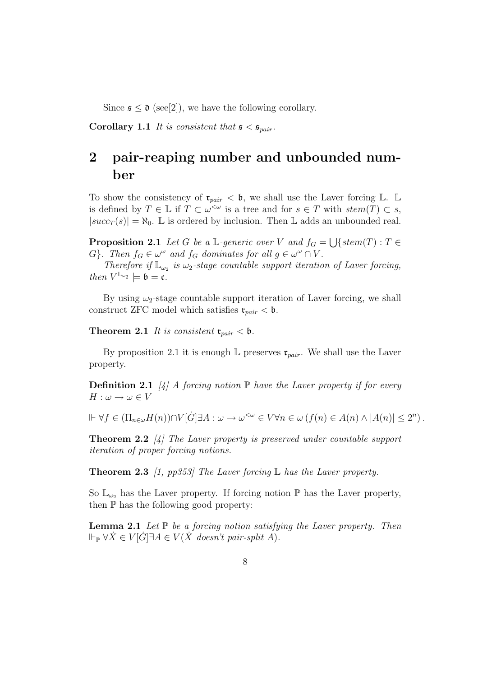Since  $\mathfrak{s} \leq \mathfrak{d}$  (see[2]), we have the following corollary.

**Corollary 1.1** It is consistent that  $\mathfrak{s} < \mathfrak{s}_{pair}$ .

# 2 pair-reaping number and unbounded number

To show the consistency of  $\mathfrak{r}_{pair} < \mathfrak{b}$ , we shall use the Laver forcing  $\mathbb{L}$ .  $\mathbb{L}$ is defined by  $T \in \mathbb{L}$  if  $T \subset \omega^{\leq \omega}$  is a tree and for  $s \in T$  with  $stem(T) \subset s$ ,  $|succ_T(s)| = \aleph_0$ . L is ordered by inclusion. Then L adds an unbounded real.

**Proposition 2.1** Let G be a L-generic over V and  $f_G =$ S  $\{stem(T):T\in$ G}. Then  $f_G \in \omega^\omega$  and  $f_G$  dominates for all  $g \in \omega^\omega \cap V$ .

Therefore if  $\mathbb{L}_{\omega_2}$  is  $\omega_2$ -stage countable support iteration of Laver forcing, then  $V^{\mathbb{L}_{\omega_2}} \models \mathfrak{b} = \mathfrak{c}.$ 

By using  $\omega_2$ -stage countable support iteration of Laver forcing, we shall construct ZFC model which satisfies  $\mathfrak{r}_{pair} < \mathfrak{b}$ .

**Theorem 2.1** It is consistent  $\mathfrak{r}_{pair} < \mathfrak{b}$ .

By proposition 2.1 it is enough  $\mathbb L$  preserves  $\mathfrak r_{pair}$ . We shall use the Laver property.

**Definition 2.1** [4] A forcing notion  $\mathbb P$  have the Laver property if for every  $H: \omega \to \omega \in V$ 

 $\Vdash \forall f \in (\Pi_{n\in\omega}H(n))\cap V[\dot{G}]\exists A: \omega \to \omega^{<\omega} \in V \forall n \in \omega \ (f(n) \in A(n) \land |A(n)| \leq 2^n).$ 

**Theorem 2.2** [4] The Laver property is preserved under countable support iteration of proper forcing notions.

**Theorem 2.3** [1, pp353] The Laver forcing  $\mathbb{L}$  has the Laver property.

So  $\mathbb{L}_{\omega_2}$  has the Laver property. If forcing notion  $\mathbb P$  has the Laver property, then  $\mathbb P$  has the following good property:

**Lemma 2.1** Let  $\mathbb P$  be a forcing notion satisfying the Laver property. Then  $\Vdash_{\mathbb{P}} \forall \dot{X} \in V[\dot{G}] \exists A \in V(\dot{X} \text{ doesn't pair-split } A).$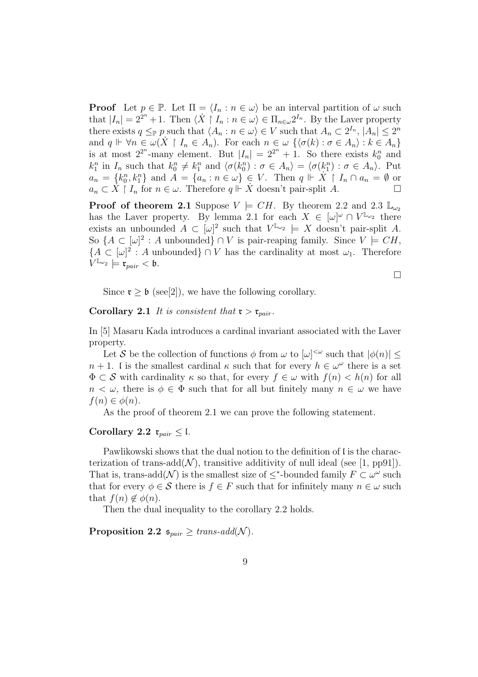**Proof** Let  $p \in \mathbb{P}$ . Let  $\Pi = \langle I_n : n \in \omega \rangle$  be an interval partition of  $\omega$  such that  $|I_n| = 2^{2^n} + 1$ . Then  $\langle X | I_n : n \in \omega \rangle \in \Pi_{n \in \omega} 2^{I_n}$ . By the Laver property there exists  $q \leq_{\mathbb{P}} p$  such that  $\langle A_n : n \in \omega \rangle \in V$  such that  $A_n \subset 2^{I_n}$ ,  $|A_n| \leq 2^n$ and  $q \Vdash \forall n \in \omega(X \upharpoonright I_n \in A_n)$ . For each  $n \in \omega \{ \langle \sigma(k) : \sigma \in A_n \rangle : k \in A_n \}$ is at most  $2^{2^n}$ -many element. But  $|I_n| = 2^{2^n} + 1$ . So there exists  $k_0^n$  and  $k_1^n$  in  $I_n$  such that  $k_0^n \neq k_1^n$  and  $\langle \sigma(k_0^n) : \sigma \in A_n \rangle = \langle \sigma(k_1^n) : \sigma \in A_n \rangle$ . Put  $a_n = \{k_0^n, k_1^n\}$  and  $A = \{a_n : n \in \omega\} \in V$ . Then  $q \Vdash \dot{X} \restriction I_n \cap a_n = \emptyset$  or  $a_n \subset \dot{X} \restriction I_n$  for  $n \in \omega$ . Therefore  $q \Vdash \dot{X}$  doesn't pair-split A.

**Proof of theorem 2.1** Suppose  $V \models CH$ . By theorem 2.2 and 2.3  $\mathbb{L}_{\omega_2}$ has the Laver property. By lemma 2.1 for each  $X \in [\omega]^\omega \cap V^{\mathbb{L}_{\omega_2}}$  there exists an unbounded  $A \subset [\omega]^2$  such that  $V^{\mathbb{L}_{\omega_2}} \models X$  doesn't pair-split A. So  $\{A \subset [\omega]^2 : A \text{ unbounded}\}\cap V \text{ is pair-reaping family. Since } V \models CH,$  ${A \subset [\omega]^2 : A \text{ unbounded}} \cap V \text{ has the cardinality at most } \omega_1.$  Therefore  $V^{\mathbb{L}_{\omega_2}} \models \mathfrak{r}_{pair} < \mathfrak{b}.$ 

¤

Since  $\mathfrak{r} > \mathfrak{b}$  (see[2]), we have the following corollary.

Corollary 2.1 It is consistent that  $\mathfrak{r} > \mathfrak{r}_{pair}$ .

In [5] Masaru Kada introduces a cardinal invariant associated with the Laver property.

Let S be the collection of functions  $\phi$  from  $\omega$  to  $[\omega]^{<\omega}$  such that  $|\phi(n)| \leq$  $n + 1$ . I is the smallest cardinal  $\kappa$  such that for every  $h \in \omega^{\omega}$  there is a set  $\Phi \subset \mathcal{S}$  with cardinality  $\kappa$  so that, for every  $f \in \omega$  with  $f(n) < h(n)$  for all  $n < \omega$ , there is  $\phi \in \Phi$  such that for all but finitely many  $n \in \omega$  we have  $f(n) \in \phi(n)$ .

As the proof of theorem 2.1 we can prove the following statement.

### Corollary 2.2  $\mathfrak{r}_{pair} \leq \mathfrak{l}$ .

Pawlikowski shows that the dual notion to the definition of  $\mathfrak l$  is the characterization of trans-add( $\mathcal{N}$ ), transitive additivity of null ideal (see [1, pp91]). That is, trans-add( $\mathcal{N}$ ) is the smallest size of  $\leq^*$ -bounded family  $F \subset \omega^\omega$  such that for every  $\phi \in \mathcal{S}$  there is  $f \in F$  such that for infinitely many  $n \in \omega$  such that  $f(n) \notin \phi(n)$ .

Then the dual inequality to the corollary 2.2 holds.

Proposition 2.2  $\mathfrak{s}_{pair} \geq trans\text{-}add(\mathcal{N}).$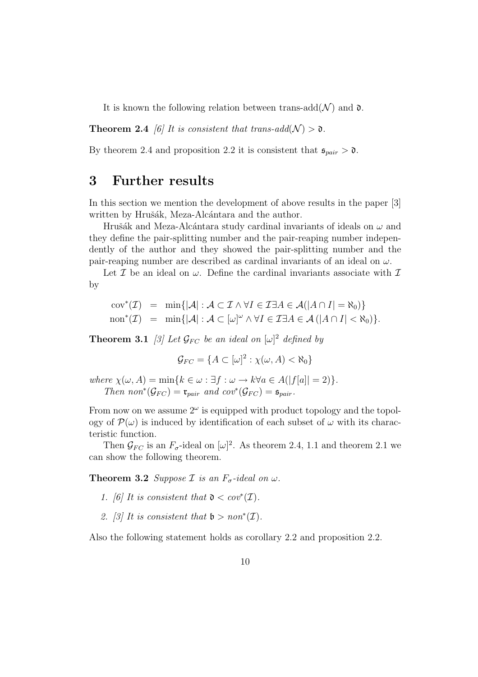It is known the following relation between trans-add( $\mathcal{N}$ ) and  $\mathfrak{d}$ .

**Theorem 2.4** [6] It is consistent that trans-add( $\mathcal{N}$ ) >  $\mathfrak{d}$ .

By theorem 2.4 and proposition 2.2 it is consistent that  $\mathfrak{s}_{pair} > \mathfrak{d}$ .

### 3 Further results

In this section we mention the development of above results in the paper [3] written by Hrušák, Meza-Alcántara and the author.

Hrušák and Meza-Alcántara study cardinal invariants of ideals on  $\omega$  and they define the pair-splitting number and the pair-reaping number independently of the author and they showed the pair-splitting number and the pair-reaping number are described as cardinal invariants of an ideal on  $\omega$ .

Let  $\mathcal I$  be an ideal on  $\omega$ . Define the cardinal invariants associate with  $\mathcal I$ by

$$
cov^*(\mathcal{I}) = \min\{|\mathcal{A}| : \mathcal{A} \subset \mathcal{I} \land \forall I \in \mathcal{I} \exists A \in \mathcal{A}(|A \cap I| = \aleph_0)\}
$$
  
non^\*(\mathcal{I}) = min\{|\mathcal{A}| : \mathcal{A} \subset [\omega]^\omega \land \forall I \in \mathcal{I} \exists A \in \mathcal{A} (|A \cap I| < \aleph\_0)\}.

**Theorem 3.1** [3] Let  $\mathcal{G}_{FC}$  be an ideal on  $[\omega]^2$  defined by

$$
\mathcal{G}_{FC} = \{ A \subset [\omega]^2 : \chi(\omega, A) < \aleph_0 \}
$$

where  $\chi(\omega, A) = \min\{k \in \omega : \exists f : \omega \to k \forall a \in A(|f[a]|=2)\}.$ Then  $non^*(\mathcal{G}_{FC}) = \mathfrak{r}_{pair}$  and  $cov^*(\mathcal{G}_{FC}) = \mathfrak{s}_{pair}$ .

From now on we assume  $2^{\omega}$  is equipped with product topology and the topology of  $\mathcal{P}(\omega)$  is induced by identification of each subset of  $\omega$  with its characteristic function.

Then  $\mathcal{G}_{FC}$  is an  $F_{\sigma}$ -ideal on  $[\omega]^2$ . As theorem 2.4, 1.1 and theorem 2.1 we can show the following theorem.

**Theorem 3.2** Suppose *I* is an  $F_{\sigma}$ -ideal on  $\omega$ .

- 1. [6] It is consistent that  $\mathfrak{d} < cov^*(\mathcal{I})$ .
- 2. [3] It is consistent that  $\mathfrak{b} > \text{non}^*(\mathcal{I})$ .

Also the following statement holds as corollary 2.2 and proposition 2.2.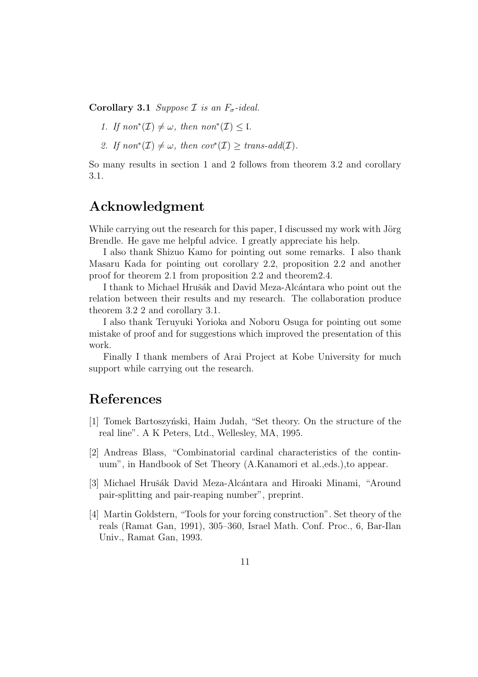Corollary 3.1 Suppose  $\mathcal I$  is an  $F_{\sigma}$ -ideal.

- 1. If  $non^*(\mathcal{I}) \neq \omega$ , then  $non^*(\mathcal{I}) \leq \mathfrak{l}$ .
- 2. If  $non^*(\mathcal{I}) \neq \omega$ , then  $cov^*(\mathcal{I}) \geq trans\text{-}add(\mathcal{I})$ .

So many results in section 1 and 2 follows from theorem 3.2 and corollary 3.1.

# Acknowledgment

While carrying out the research for this paper, I discussed my work with Jörg Brendle. He gave me helpful advice. I greatly appreciate his help.

I also thank Shizuo Kamo for pointing out some remarks. I also thank Masaru Kada for pointing out corollary 2.2, proposition 2.2 and another proof for theorem 2.1 from proposition 2.2 and theorem2.4.

I thank to Michael Hrušák and David Meza-Alcántara who point out the relation between their results and my research. The collaboration produce theorem 3.2 2 and corollary 3.1.

I also thank Teruyuki Yorioka and Noboru Osuga for pointing out some mistake of proof and for suggestions which improved the presentation of this work.

Finally I thank members of Arai Project at Kobe University for much support while carrying out the research.

# References

- [1] Tomek Bartoszynski, Haim Judah, "Set theory. On the structure of the real line". A K Peters, Ltd., Wellesley, MA, 1995.
- [2] Andreas Blass, "Combinatorial cardinal characteristics of the continuum", in Handbook of Set Theory (A.Kanamori et al.,eds.),to appear.
- [3] Michael Hrušák David Meza-Alcántara and Hiroaki Minami, "Around pair-splitting and pair-reaping number", preprint.
- [4] Martin Goldstern, "Tools for your forcing construction". Set theory of the reals (Ramat Gan, 1991), 305–360, Israel Math. Conf. Proc., 6, Bar-Ilan Univ., Ramat Gan, 1993.